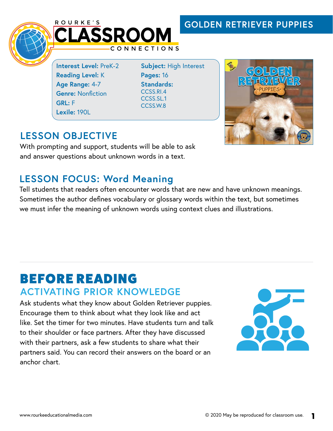## **GOLDEN RETRIEVER PUPPIES**





**Interest Level:** PreK-2 **Reading Level:** K **Age Range:** 4-7 **Genre: Nonfiction GRL:** F **Lexile:** 190L

**Subject:** High Interest **Pages:** 16 **Standards:**  CCSS.RI.4 CCSS.SL.1 CCSS.W.8



# **LESSON OBJECTIVE**

With prompting and support, students will be able to ask and answer questions about unknown words in a text.

## **LESSON FOCUS: Word Meaning**

Tell students that readers often encounter words that are new and have unknown meanings. Sometimes the author defines vocabulary or glossary words within the text, but sometimes we must infer the meaning of unknown words using context clues and illustrations.

# BEFORE READING **ACTIVATING PRIOR KNOWLEDGE**

Ask students what they know about Golden Retriever puppies. Encourage them to think about what they look like and act like. Set the timer for two minutes. Have students turn and talk to their shoulder or face partners. After they have discussed with their partners, ask a few students to share what their partners said. You can record their answers on the board or an anchor chart.

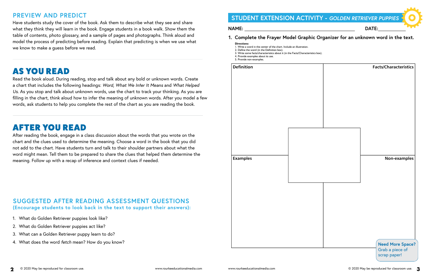**2** © 2020 May be reproduced for classroom use. www.rourkeeducationalmedia.com www.rourkeeducationalmedia.com © 2020 May be reproduced for classroom use. **3**

## **PREVIEW AND PREDICT**

Have students study the cover of the book. Ask them to describe what they see and share what they think they will learn in the book. Engage students in a book walk. Show them the table of contents, photo glossary, and a sample of pages and photographs. Think aloud and model the process of predicting before reading. Explain that predicting is when we use what we know to make a guess before we read.

# AS YOU READ

Read the book aloud. During reading, stop and talk about any bold or unknown words. Create a chart that includes the following headings: *Word, What We Infer It Means* and *What Helped Us*. As you stop and talk about unknown words, use the chart to track your thinking. As you are filling in the chart, think aloud how to infer the meaning of unknown words. After you model a few words, ask students to help you complete the rest of the chart as you are reading the book.





# AFTER YOU READ

After reading the book, engage in a class discussion about the words that you wrote on the chart and the clues used to determine the meaning. Choose a word in the book that you did not add to the chart. Have students turn and talk to their shoulder partners about what the word might mean. Tell them to be prepared to share the clues that helped them determine the meaning. Follow up with a recap of inference and context clues if needed.

### **SUGGESTED AFTER READING ASSESSMENT QUESTIONS (Encourage students to look back in the text to support their answers):**

- 1. What do Golden Retriever puppies look like?
- 2. What do Golden Retriever puppies act like?
- 3. What can a Golden Retriever puppy learn to do?
- 4. What does the word *fetch* mean? How do you know?



# **STUDENT EXTENSION ACTIVITY -** *GOLDEN RETRIEVER PUPPIES*

### **1. Complete the Frayer Model Graphic Organizer for an unknown word in the text.**

### **Directions:**

- 1. Write a word in the center of the chart. Include an illustration.
- 2. Define the word (in the Definition box).
- 3. Write some facts/characteristics about it (in the Facts/Characteristics box). 4. Provide examples about its use.
- 5. Provide non-examples.